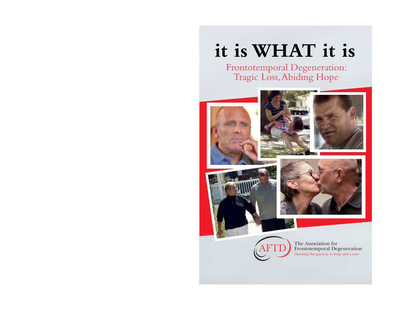# **it is WHAT it is**

# Frontotemporal Degeneration: Tragic Loss, Abiding Hope





The Association for Frontotemporal Degeneration Opening the gateway to help and a cure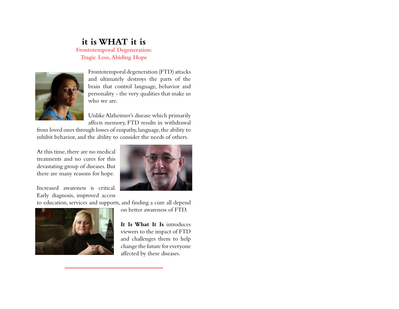# **it is WHAT it is**

**Frontotemporal Degeneration: Tragic Loss, Abiding Hope**



Frontotemporal degeneration (FTD) attacks and ultimately destroys the parts of the brain that control language, behavior and personality - the very qualities that make us who we are.

Unlike Alzheimer's disease which primarily affects memory, FTD results in withdrawal

from loved ones through losses of empathy, language, the ability to inhibit behavior, and the ability to consider the needs of others.

At this time, there are no medical treatments and no cures for this devastating group of diseases. But there are many reasons for hope.

Increased awareness is critical. Early diagnosis, improved access

to education, services and supports, and finding a cure all depend



on better awareness of FTD.

**It Is What It Is** introduces viewers to the impact of FTD and challenges them to help change the future for everyone affected by these diseases.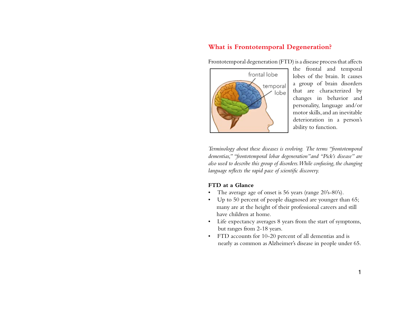# **What is Frontotemporal Degeneration?**

Frontotemporal degeneration (FTD) is a disease process that affects



the frontal and temporal lobes of the brain. It causes a group of brain disorders that are characterized by changes in behavior and personality, language and/or motor skills, and an inevitable deterioration in a person's ability to function.

*Terminology about these diseases is evolving. The terms "frontotemporal dementias," "frontotemporal lobar degeneration"and "Pick's disease" are also used to describe this group of disorders. While confusing, the changing language reflects the rapid pace of scientific discovery.* 

#### **FTD at a Glance**

- The average age of onset is 56 years (range 20's-80's).
- Up to 50 percent of people diagnosed are younger than 65; many are at the height of their professional careers and still have children at home.
- Life expectancy averages 8 years from the start of symptoms, but ranges from 2-18 years.
- FTD accounts for 10-20 percent of all dementias and is nearly as common as Alzheimer's disease in people under 65.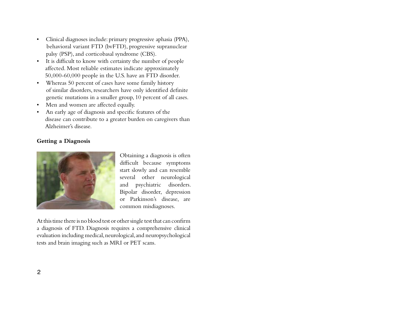- Clinical diagnoses include: primary progressive aphasia (PPA), behavioral variant FTD (bvFTD), progressive supranuclear palsy (PSP), and corticobasal syndrome (CBS).
- It is difficult to know with certainty the number of people affected. Most reliable estimates indicate approximately 50,000-60,000 people in the U.S. have an FTD disorder.
- Whereas 50 percent of cases have some family history of similar disorders, researchers have only identified definite genetic mutations in a smaller group, 10 percent of all cases.
- Men and women are affected equally.
- An early age of diagnosis and specific features of the disease can contribute to a greater burden on caregivers than Alzheimer's disease

#### **Getting a Diagnosis**



Obtaining a diagnosis is often difficult because symptoms start slowly and can resemble several other neurological and psychiatric disorders. Bipolar disorder, depression or Parkinson's disease, are common misdiagnoses.

At this time there is no blood test or other single test that can confirm a diagnosis of FTD. Diagnosis requires a comprehensive clinical evaluation including medical, neurological, and neuropsychological tests and brain imaging such as MRI or PET scans.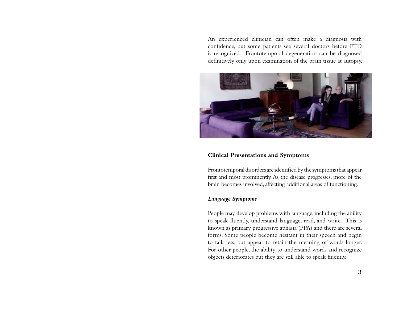An experienced clinician can often make a diagnosis with confidence, but some patients see several doctors before FTD is recognized. Frontotemporal degeneration can be diagnosed definitively only upon examination of the brain tissue at autopsy.



#### **Clinical Presentations and Symptoms**

Frontotemporal disorders are identified by the symptoms that appear first and most prominently. As the disease progresses, more of the brain becomes involved, affecting additional areas of functioning.

#### *Language Symptoms*

People may develop problems with language, including the ability to speak fluently, understand language, read, and write. This is known as primary progressive aphasia (PPA) and there are several forms. Some people become hesitant in their speech and begin to talk less, but appear to retain the meaning of words longer. For other people, the ability to understand words and recognize objects deteriorates but they are still able to speak fluently.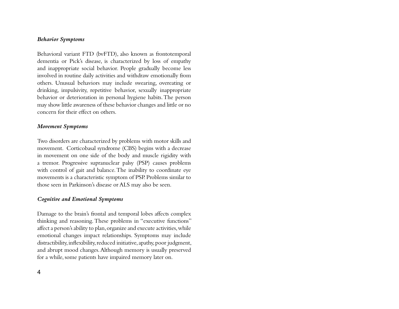#### *Behavior Symptoms*

Behavioral variant FTD (bvFTD), also known as frontotemporal dementia or Pick's disease, is characterized by loss of empathy and inappropriate social behavior. People gradually become less involved in routine daily activities and withdraw emotionally from others. Unusual behaviors may include swearing, overeating or drinking, impulsivity, repetitive behavior, sexually inappropriate behavior or deterioration in personal hygiene habits. The person may show little awareness of these behavior changes and little or no concern for their effect on others.

#### *Movement Symptoms*

Two disorders are characterized by problems with motor skills and movement. Corticobasal syndrome (CBS) begins with a decrease in movement on one side of the body and muscle rigidity with a tremor. Progressive supranuclear palsy (PSP) causes problems with control of gait and balance. The inability to coordinate eye movements is a characteristic symptom of PSP. Problems similar to those seen in Parkinson's disease or ALS may also be seen.

#### *Cognitive and Emotional Symptoms*

Damage to the brain's frontal and temporal lobes affects complex thinking and reasoning. These problems in "executive functions" affect a person's ability to plan, organize and execute activities, while emotional changes impact relationships. Symptoms may include distractibility, inflexibility, reduced initiative, apathy, poor judgment, and abrupt mood changes. Although memory is usually preserved for a while, some patients have impaired memory later on.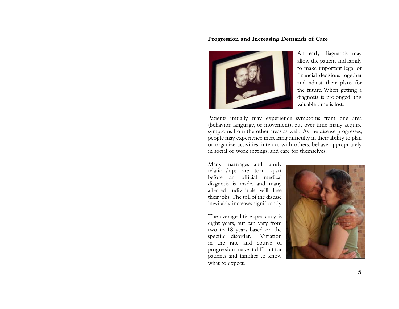#### **Progression and Increasing Demands of Care**



An early diagnaosis may allow the patient and family to make important legal or financial decisions together and adjust their plans for the future. When getting a diagnosis is prolonged, this valuable time is lost.

Patients initially may experience symptoms from one area (behavior, language, or movement), but over time many acquire symptoms from the other areas as well. As the disease progresses, people may experience increasing difficulty in their ability to plan or organize activities, interact with others, behave appropriately in social or work settings, and care for themselves.

Many marriages and family relationships are torn apart before an official medical diagnosis is made, and many affected individuals will lose their jobs. The toll of the disease inevitably increases significantly.

The average life expectancy is eight years, but can vary from two to 18 years based on the specific disorder. Variation in the rate and course of progression make it difficult for patients and families to know what to expect.

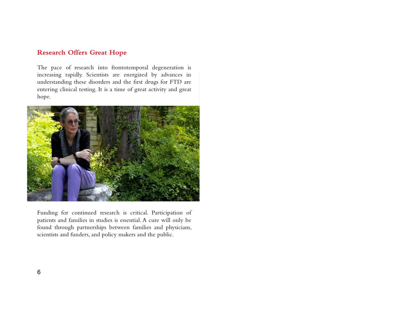## **Research Offers Great Hope**

The pace of research into frontotemporal degeneration is increasing rapidly. Scientists are energized by advances in understanding these disorders and the first drugs for FTD are entering clinical testing. It is a time of great activity and great hope.



Funding for continued research is critical. Participation of patients and families in studies is essential. A cure will only be found through partnerships between families and physicians, scientists and funders, and policy makers and the public.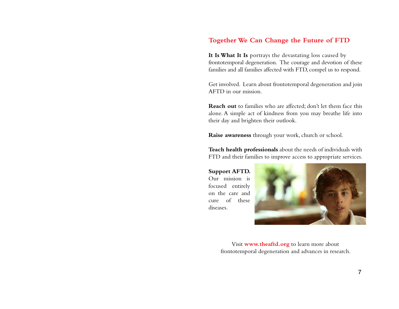## **Together We Can Change the Future of FTD**

It Is What It Is portrays the devastating loss caused by frontotemporal degeneration. The courage and devotion of these families and all families affected with FTD, compel us to respond.

Get involved. Learn about frontotemporal degeneration and join AFTD in our mission.

**Reach out** to families who are affected; don't let them face this alone. A simple act of kindness from you may breathe life into their day and brighten their outlook.

**Raise awareness** through your work, church or school.

Teach health professionals about the needs of individuals with FTD and their families to improve access to appropriate services.

**Support AFTD.**  Our mission is focused entirely on the care and cure of these diseases.



Visit **www.theaftd.org** to learn more about frontotemporal degeneration and advances in research.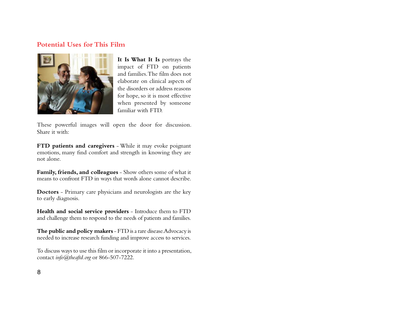### **Potential Uses for This Film**



**It Is What It Is** portrays the impact of FTD on patients and families. The film does not elaborate on clinical aspects of the disorders or address reasons for hope, so it is most effective when presented by someone familiar with FTD.

These powerful images will open the door for discussion. Share it with:

**FTD patients and caregivers** - While it may evoke poignant emotions, many find comfort and strength in knowing they are not alone.

**Family, friends, and colleagues** - Show others some of what it means to confront FTD in ways that words alone cannot describe.

**Doctors** - Primary care physicians and neurologists are the key to early diagnosis.

**Health and social service providers** - Introduce them to FTD and challenge them to respond to the needs of patients and families.

**The public and policy makers** - FTD is a rare disease. Advocacy is needed to increase research funding and improve access to services.

To discuss ways to use this film or incorporate it into a presentation, contact *info@theaftd.org* or 866-507-7222.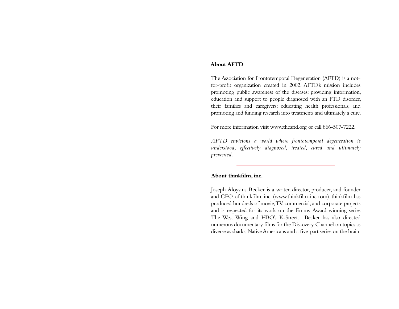#### **About AFTD**

The Association for Frontotemporal Degeneration (AFTD) is a notfor-profit organization created in 2002. AFTD's mission includes promoting public awareness of the diseases; providing information, education and support to people diagnosed with an FTD disorder, their families and caregivers; educating health professionals; and promoting and funding research into treatments and ultimately a cure.

For more information visit www.theaftd.org or call 866-507-7222.

*AFTD envisions a world where frontotemporal degeneration is understood, effectively diagnosed, treated, cured and ultimately prevented.*

#### **About thinkfilm, inc.**

Joseph Aloysius Becker is a writer, director, producer, and founder and CEO of thinkfilm, inc. (www.thinkfilm-inc.com). thinkfilm has produced hundreds of movie, TV, commercial, and corporate projects and is respected for its work on the Emmy Award-winning series The West Wing and HBO's K-Street. Becker has also directed numerous documentary films for the Discovery Channel on topics as diverse as sharks, Native Americans and a five-part series on the brain.